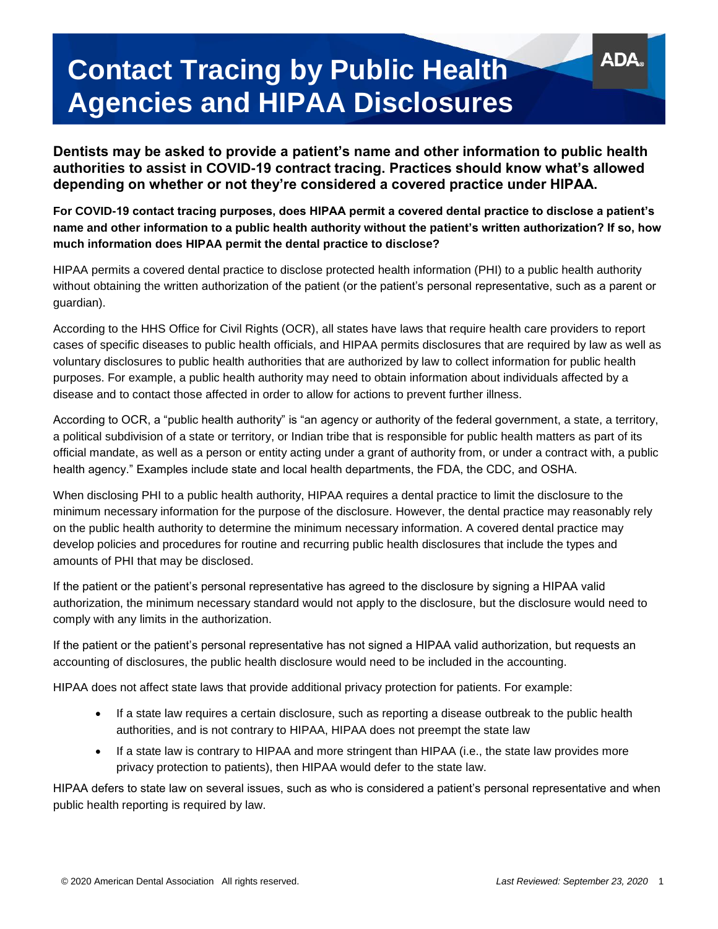## **Contact Tracing by Public Health Agencies and HIPAA Disclosures**

**Dentists may be asked to provide a patient's name and other information to public health authorities to assist in COVID-19 contract tracing. Practices should know what's allowed depending on whether or not they're considered a covered practice under HIPAA.**

**For COVID-19 contact tracing purposes, does HIPAA permit a covered dental practice to disclose a patient's name and other information to a public health authority without the patient's written authorization? If so, how much information does HIPAA permit the dental practice to disclose?**

HIPAA permits a covered dental practice to disclose protected health information (PHI) to a public health authority without obtaining the written authorization of the patient (or the patient's personal representative, such as a parent or guardian).

According to the HHS Office for Civil Rights (OCR), all states have laws that require health care providers to report cases of specific diseases to public health officials, and HIPAA permits disclosures that are required by law as well as voluntary disclosures to public health authorities that are authorized by law to collect information for public health purposes. For example, a public health authority may need to obtain information about individuals affected by a disease and to contact those affected in order to allow for actions to prevent further illness.

According to OCR, a "public health authority" is "an agency or authority of the federal government, a state, a territory, a political subdivision of a state or territory, or Indian tribe that is responsible for public health matters as part of its official mandate, as well as a person or entity acting under a grant of authority from, or under a contract with, a public health agency." Examples include state and local health departments, the FDA, the CDC, and OSHA.

When disclosing PHI to a public health authority, HIPAA requires a dental practice to limit the disclosure to the minimum necessary information for the purpose of the disclosure. However, the dental practice may reasonably rely on the public health authority to determine the minimum necessary information. A covered dental practice may develop policies and procedures for routine and recurring public health disclosures that include the types and amounts of PHI that may be disclosed.

If the patient or the patient's personal representative has agreed to the disclosure by signing a HIPAA valid authorization, the minimum necessary standard would not apply to the disclosure, but the disclosure would need to comply with any limits in the authorization.

If the patient or the patient's personal representative has not signed a HIPAA valid authorization, but requests an accounting of disclosures, the public health disclosure would need to be included in the accounting.

HIPAA does not affect state laws that provide additional privacy protection for patients. For example:

- If a state law requires a certain disclosure, such as reporting a disease outbreak to the public health authorities, and is not contrary to HIPAA, HIPAA does not preempt the state law
- If a state law is contrary to HIPAA and more stringent than HIPAA (i.e., the state law provides more privacy protection to patients), then HIPAA would defer to the state law.

HIPAA defers to state law on several issues, such as who is considered a patient's personal representative and when public health reporting is required by law.

ADA